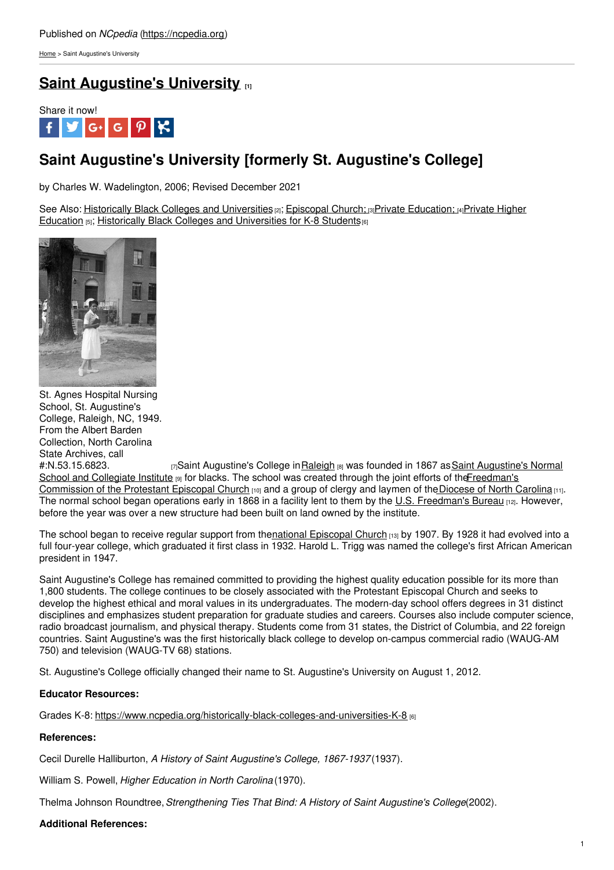[Home](https://ncpedia.org/) > Saint Augustine's University

## **Saint [Augustine's](https://ncpedia.org/saint-augustines-college) University [1]**



# **Saint Augustine's University [formerly St. Augustine's College]**

by Charles W. Wadelington, 2006; Revised December 2021

See Also: Historically Black Colleges and [Universities](https://ncpedia.org/education/privatehigher) [2]; [Episcopal](https://ncpedia.org/episcopal-church) Church; [3]Private [Education;](https://ncpedia.org/education-private) [4]Private Higher Education [5]; Historically Black Colleges and [Universities](https://www.ncpedia.org/historically-black-colleges-and-universities-K-8) for K-8 Students [6]



St. Agnes Hospital Nursing School, St. Augustine's College, Raleigh, NC, 1949. From the Albert Barden Collection, North Carolina State Archives, call

[#:N.53.15.6823.](http://www.blackpast.org/?q=aah/st-augustine-s-college-1867) [7] Saint Augustine's College in [Raleigh](https://ncpedia.org/www.ncpedia.org/geography/raleigh) [8] was founded in 1867 as Saint Augustine's Normal School and Collegiate Institute [9] for blacks. The school was created through the joint efforts of the Freedman's Commission of the Protestant Episcopal Church [10] and a group of clergy and laymen of the Diocese of North Carolina [11]. The normal school began operations early in 1868 in a facility lent to them by the U.S. [Freedman's](http://www.archives.gov/research/african-americans/freedmens-bureau/) Bureau [12]. However, before the year was over a new structure had been built on land owned by the institute.

The school began to receive regular support from thenational [Episcopal](http://www.episcopalchurch.org/) Church [13] by 1907. By 1928 it had evolved into a full four-year college, which graduated it first class in 1932. Harold L. Trigg was named the college's first African American president in 1947.

Saint Augustine's College has remained committed to providing the highest quality education possible for its more than 1,800 students. The college continues to be closely associated with the Protestant Episcopal Church and seeks to develop the highest ethical and moral values in its undergraduates. The modern-day school offers degrees in 31 distinct disciplines and emphasizes student preparation for graduate studies and careers. Courses also include computer science, radio broadcast journalism, and physical therapy. Students come from 31 states, the District of Columbia, and 22 foreign countries. Saint Augustine's was the first historically black college to develop on-campus commercial radio (WAUG-AM 750) and television (WAUG-TV 68) stations.

St. Augustine's College officially changed their name to St. Augustine's University on August 1, 2012.

### **Educator Resources:**

Grades K-8: <https://www.ncpedia.org/historically-black-colleges-and-universities-K-8> [6]

### **References:**

Cecil Durelle Halliburton, *A History of Saint Augustine's College, 1867-1937* (1937).

William S. Powell, *Higher Education in North Carolina* (1970).

Thelma Johnson Roundtree,*Strengthening Ties That Bind: A History of Saint Augustine's College*(2002).

### **Additional References:**